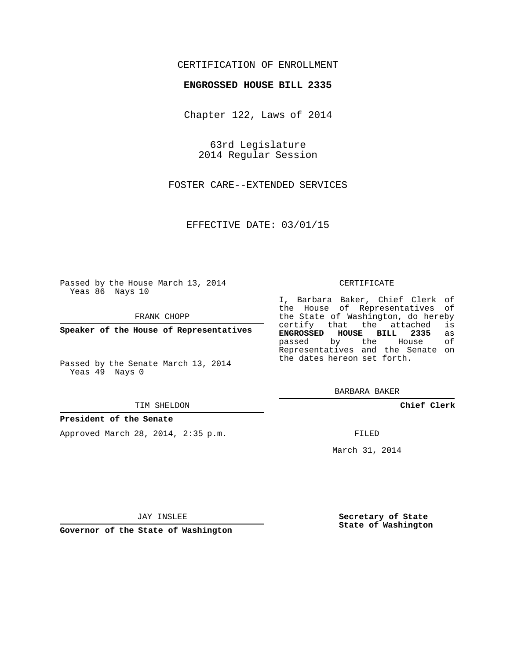## CERTIFICATION OF ENROLLMENT

## **ENGROSSED HOUSE BILL 2335**

Chapter 122, Laws of 2014

63rd Legislature 2014 Regular Session

FOSTER CARE--EXTENDED SERVICES

EFFECTIVE DATE: 03/01/15

Passed by the House March 13, 2014 Yeas 86 Nays 10

FRANK CHOPP

**Speaker of the House of Representatives**

Passed by the Senate March 13, 2014 Yeas 49 Nays 0

#### TIM SHELDON

## **President of the Senate**

Approved March 28, 2014, 2:35 p.m.

### CERTIFICATE

I, Barbara Baker, Chief Clerk of the House of Representatives of the State of Washington, do hereby<br>certify that the attached is certify that the attached is<br>**ENGROSSED HOUSE BILL 2335** as **ENGROSSED HOUSE BILL 2335** as passed by the House Representatives and the Senate on the dates hereon set forth.

BARBARA BAKER

**Chief Clerk**

FILED

March 31, 2014

JAY INSLEE

**Governor of the State of Washington**

**Secretary of State State of Washington**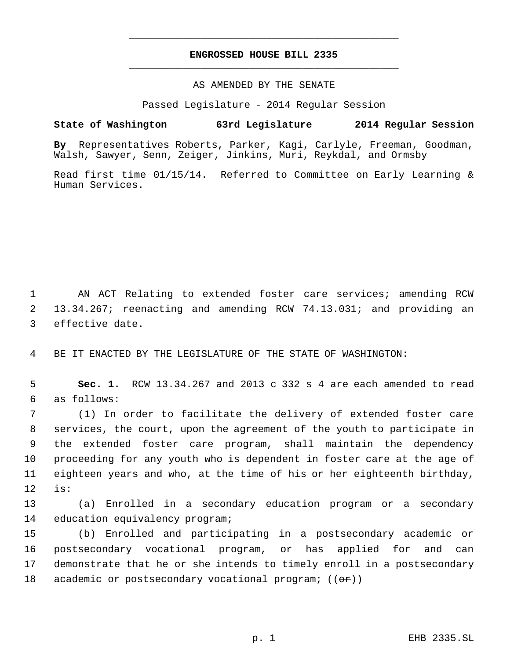# **ENGROSSED HOUSE BILL 2335** \_\_\_\_\_\_\_\_\_\_\_\_\_\_\_\_\_\_\_\_\_\_\_\_\_\_\_\_\_\_\_\_\_\_\_\_\_\_\_\_\_\_\_\_\_

\_\_\_\_\_\_\_\_\_\_\_\_\_\_\_\_\_\_\_\_\_\_\_\_\_\_\_\_\_\_\_\_\_\_\_\_\_\_\_\_\_\_\_\_\_

AS AMENDED BY THE SENATE

Passed Legislature - 2014 Regular Session

# **State of Washington 63rd Legislature 2014 Regular Session**

**By** Representatives Roberts, Parker, Kagi, Carlyle, Freeman, Goodman, Walsh, Sawyer, Senn, Zeiger, Jinkins, Muri, Reykdal, and Ormsby

Read first time 01/15/14. Referred to Committee on Early Learning & Human Services.

 1 AN ACT Relating to extended foster care services; amending RCW 2 13.34.267; reenacting and amending RCW 74.13.031; and providing an 3 effective date.

4 BE IT ENACTED BY THE LEGISLATURE OF THE STATE OF WASHINGTON:

 5 **Sec. 1.** RCW 13.34.267 and 2013 c 332 s 4 are each amended to read 6 as follows:

 (1) In order to facilitate the delivery of extended foster care services, the court, upon the agreement of the youth to participate in the extended foster care program, shall maintain the dependency proceeding for any youth who is dependent in foster care at the age of eighteen years and who, at the time of his or her eighteenth birthday, 12 is:

13 (a) Enrolled in a secondary education program or a secondary 14 education equivalency program;

 (b) Enrolled and participating in a postsecondary academic or postsecondary vocational program, or has applied for and can demonstrate that he or she intends to timely enroll in a postsecondary 18 academic or postsecondary vocational program;  $((\Theta \cdot \mathbf{r}))$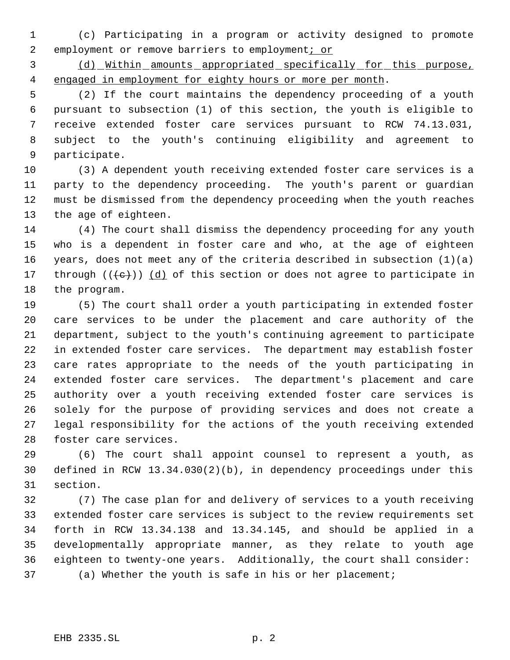(c) Participating in a program or activity designed to promote 2 employment or remove barriers to employment; or

 (d) Within amounts appropriated specifically for this purpose, 4 engaged in employment for eighty hours or more per month.

 (2) If the court maintains the dependency proceeding of a youth pursuant to subsection (1) of this section, the youth is eligible to receive extended foster care services pursuant to RCW 74.13.031, subject to the youth's continuing eligibility and agreement to participate.

 (3) A dependent youth receiving extended foster care services is a party to the dependency proceeding. The youth's parent or guardian must be dismissed from the dependency proceeding when the youth reaches the age of eighteen.

 (4) The court shall dismiss the dependency proceeding for any youth who is a dependent in foster care and who, at the age of eighteen years, does not meet any of the criteria described in subsection (1)(a) 17 through  $((+e))$   $(d)$  of this section or does not agree to participate in the program.

 (5) The court shall order a youth participating in extended foster care services to be under the placement and care authority of the department, subject to the youth's continuing agreement to participate in extended foster care services. The department may establish foster care rates appropriate to the needs of the youth participating in extended foster care services. The department's placement and care authority over a youth receiving extended foster care services is solely for the purpose of providing services and does not create a legal responsibility for the actions of the youth receiving extended foster care services.

 (6) The court shall appoint counsel to represent a youth, as defined in RCW 13.34.030(2)(b), in dependency proceedings under this section.

 (7) The case plan for and delivery of services to a youth receiving extended foster care services is subject to the review requirements set forth in RCW 13.34.138 and 13.34.145, and should be applied in a developmentally appropriate manner, as they relate to youth age eighteen to twenty-one years. Additionally, the court shall consider: (a) Whether the youth is safe in his or her placement;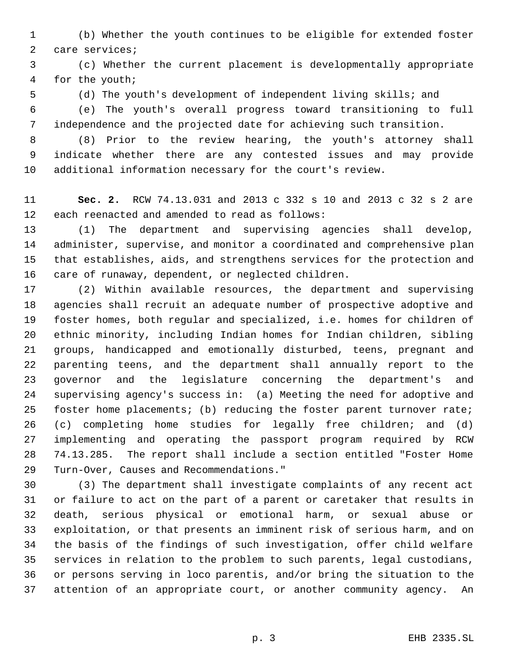(b) Whether the youth continues to be eligible for extended foster care services;

 (c) Whether the current placement is developmentally appropriate for the youth;

(d) The youth's development of independent living skills; and

 (e) The youth's overall progress toward transitioning to full independence and the projected date for achieving such transition.

 (8) Prior to the review hearing, the youth's attorney shall indicate whether there are any contested issues and may provide additional information necessary for the court's review.

 **Sec. 2.** RCW 74.13.031 and 2013 c 332 s 10 and 2013 c 32 s 2 are each reenacted and amended to read as follows:

 (1) The department and supervising agencies shall develop, administer, supervise, and monitor a coordinated and comprehensive plan that establishes, aids, and strengthens services for the protection and care of runaway, dependent, or neglected children.

 (2) Within available resources, the department and supervising agencies shall recruit an adequate number of prospective adoptive and foster homes, both regular and specialized, i.e. homes for children of ethnic minority, including Indian homes for Indian children, sibling groups, handicapped and emotionally disturbed, teens, pregnant and parenting teens, and the department shall annually report to the governor and the legislature concerning the department's and supervising agency's success in: (a) Meeting the need for adoptive and foster home placements; (b) reducing the foster parent turnover rate; (c) completing home studies for legally free children; and (d) implementing and operating the passport program required by RCW 74.13.285. The report shall include a section entitled "Foster Home Turn-Over, Causes and Recommendations."

 (3) The department shall investigate complaints of any recent act or failure to act on the part of a parent or caretaker that results in death, serious physical or emotional harm, or sexual abuse or exploitation, or that presents an imminent risk of serious harm, and on the basis of the findings of such investigation, offer child welfare services in relation to the problem to such parents, legal custodians, or persons serving in loco parentis, and/or bring the situation to the attention of an appropriate court, or another community agency. An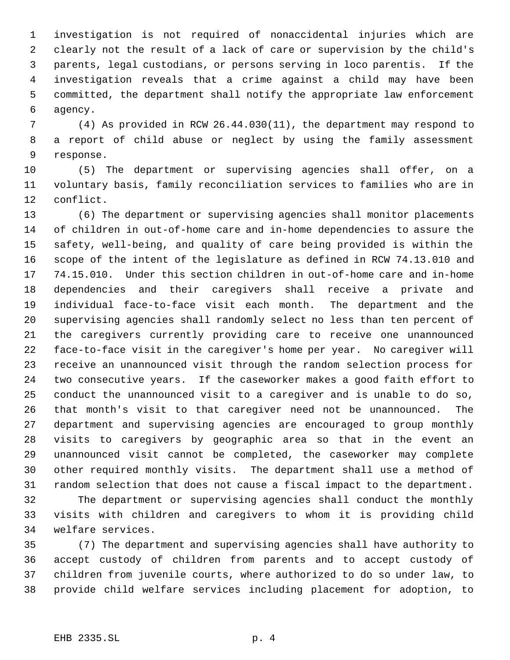investigation is not required of nonaccidental injuries which are clearly not the result of a lack of care or supervision by the child's parents, legal custodians, or persons serving in loco parentis. If the investigation reveals that a crime against a child may have been committed, the department shall notify the appropriate law enforcement agency.

 (4) As provided in RCW 26.44.030(11), the department may respond to a report of child abuse or neglect by using the family assessment response.

 (5) The department or supervising agencies shall offer, on a voluntary basis, family reconciliation services to families who are in conflict.

 (6) The department or supervising agencies shall monitor placements of children in out-of-home care and in-home dependencies to assure the safety, well-being, and quality of care being provided is within the scope of the intent of the legislature as defined in RCW 74.13.010 and 74.15.010. Under this section children in out-of-home care and in-home dependencies and their caregivers shall receive a private and individual face-to-face visit each month. The department and the supervising agencies shall randomly select no less than ten percent of the caregivers currently providing care to receive one unannounced face-to-face visit in the caregiver's home per year. No caregiver will receive an unannounced visit through the random selection process for two consecutive years. If the caseworker makes a good faith effort to conduct the unannounced visit to a caregiver and is unable to do so, that month's visit to that caregiver need not be unannounced. The department and supervising agencies are encouraged to group monthly visits to caregivers by geographic area so that in the event an unannounced visit cannot be completed, the caseworker may complete other required monthly visits. The department shall use a method of random selection that does not cause a fiscal impact to the department. The department or supervising agencies shall conduct the monthly

 visits with children and caregivers to whom it is providing child welfare services.

 (7) The department and supervising agencies shall have authority to accept custody of children from parents and to accept custody of children from juvenile courts, where authorized to do so under law, to provide child welfare services including placement for adoption, to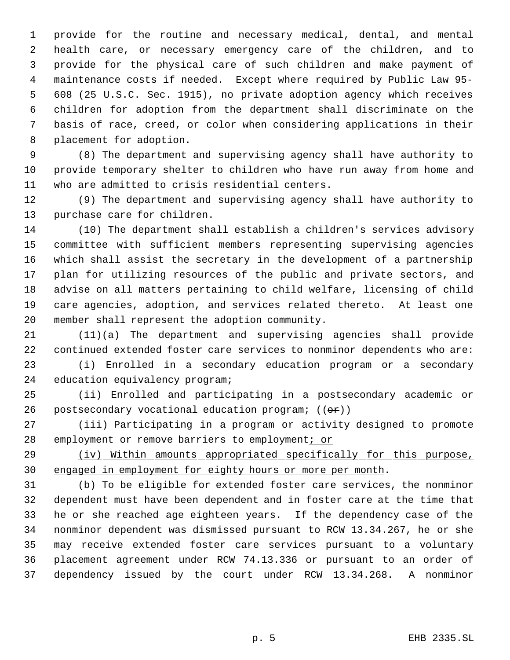provide for the routine and necessary medical, dental, and mental health care, or necessary emergency care of the children, and to provide for the physical care of such children and make payment of maintenance costs if needed. Except where required by Public Law 95- 608 (25 U.S.C. Sec. 1915), no private adoption agency which receives children for adoption from the department shall discriminate on the basis of race, creed, or color when considering applications in their placement for adoption.

 (8) The department and supervising agency shall have authority to provide temporary shelter to children who have run away from home and who are admitted to crisis residential centers.

 (9) The department and supervising agency shall have authority to purchase care for children.

 (10) The department shall establish a children's services advisory committee with sufficient members representing supervising agencies which shall assist the secretary in the development of a partnership plan for utilizing resources of the public and private sectors, and advise on all matters pertaining to child welfare, licensing of child care agencies, adoption, and services related thereto. At least one member shall represent the adoption community.

 (11)(a) The department and supervising agencies shall provide continued extended foster care services to nonminor dependents who are:

 (i) Enrolled in a secondary education program or a secondary education equivalency program;

 (ii) Enrolled and participating in a postsecondary academic or 26 postsecondary vocational education program;  $((\theta \cdot \mathbf{r}))$ 

 (iii) Participating in a program or activity designed to promote 28 employment or remove barriers to employment; or

29 (iv) Within amounts appropriated specifically for this purpose, engaged in employment for eighty hours or more per month.

 (b) To be eligible for extended foster care services, the nonminor dependent must have been dependent and in foster care at the time that he or she reached age eighteen years. If the dependency case of the nonminor dependent was dismissed pursuant to RCW 13.34.267, he or she may receive extended foster care services pursuant to a voluntary placement agreement under RCW 74.13.336 or pursuant to an order of dependency issued by the court under RCW 13.34.268. A nonminor

p. 5 EHB 2335.SL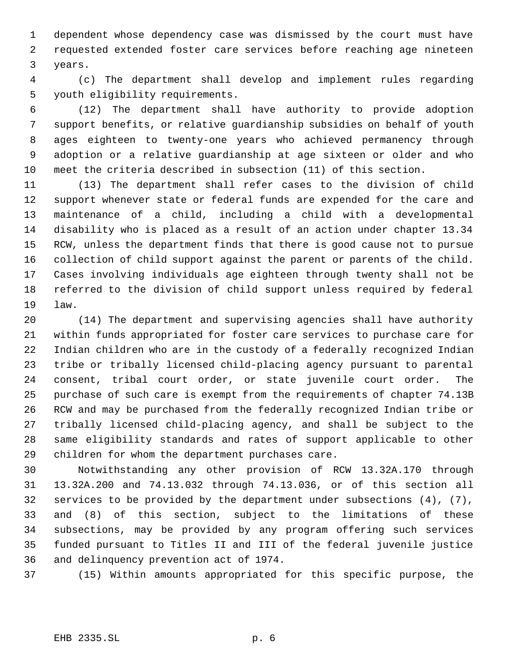dependent whose dependency case was dismissed by the court must have requested extended foster care services before reaching age nineteen years.

 (c) The department shall develop and implement rules regarding youth eligibility requirements.

 (12) The department shall have authority to provide adoption support benefits, or relative guardianship subsidies on behalf of youth ages eighteen to twenty-one years who achieved permanency through adoption or a relative guardianship at age sixteen or older and who meet the criteria described in subsection (11) of this section.

 (13) The department shall refer cases to the division of child support whenever state or federal funds are expended for the care and maintenance of a child, including a child with a developmental disability who is placed as a result of an action under chapter 13.34 RCW, unless the department finds that there is good cause not to pursue collection of child support against the parent or parents of the child. Cases involving individuals age eighteen through twenty shall not be referred to the division of child support unless required by federal law.

 (14) The department and supervising agencies shall have authority within funds appropriated for foster care services to purchase care for Indian children who are in the custody of a federally recognized Indian tribe or tribally licensed child-placing agency pursuant to parental consent, tribal court order, or state juvenile court order. The purchase of such care is exempt from the requirements of chapter 74.13B RCW and may be purchased from the federally recognized Indian tribe or tribally licensed child-placing agency, and shall be subject to the same eligibility standards and rates of support applicable to other children for whom the department purchases care.

 Notwithstanding any other provision of RCW 13.32A.170 through 13.32A.200 and 74.13.032 through 74.13.036, or of this section all services to be provided by the department under subsections (4), (7), and (8) of this section, subject to the limitations of these subsections, may be provided by any program offering such services funded pursuant to Titles II and III of the federal juvenile justice and delinquency prevention act of 1974.

(15) Within amounts appropriated for this specific purpose, the